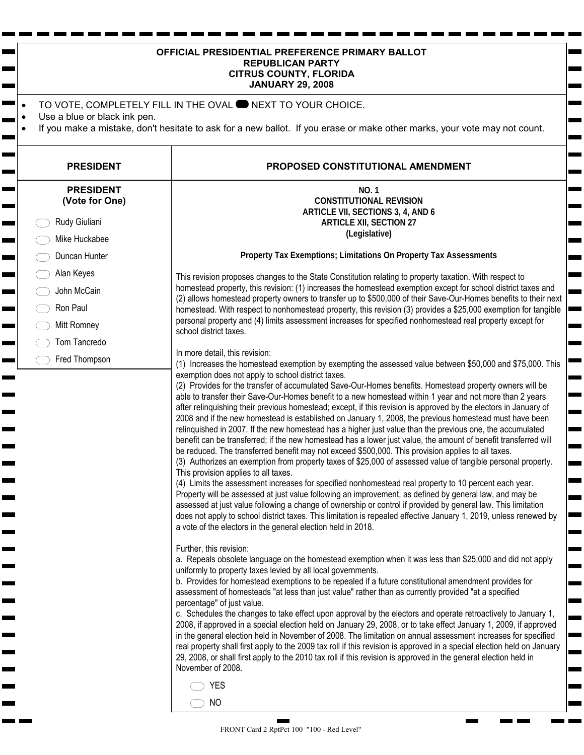| OFFICIAL PRESIDENTIAL PREFERENCE PRIMARY BALLOT<br><b>REPUBLICAN PARTY</b><br><b>CITRUS COUNTY, FLORIDA</b><br><b>JANUARY 29, 2008</b> |                                                                                                                                                                                                                                                                                                                                                                                                                                                                                                                                                                                                                                                                                                                                                                                                                                                                                                                                                                                                                                                                                                                                                                                                                                                                                                                                                                                                                                                                                                                                 |  |  |
|----------------------------------------------------------------------------------------------------------------------------------------|---------------------------------------------------------------------------------------------------------------------------------------------------------------------------------------------------------------------------------------------------------------------------------------------------------------------------------------------------------------------------------------------------------------------------------------------------------------------------------------------------------------------------------------------------------------------------------------------------------------------------------------------------------------------------------------------------------------------------------------------------------------------------------------------------------------------------------------------------------------------------------------------------------------------------------------------------------------------------------------------------------------------------------------------------------------------------------------------------------------------------------------------------------------------------------------------------------------------------------------------------------------------------------------------------------------------------------------------------------------------------------------------------------------------------------------------------------------------------------------------------------------------------------|--|--|
|                                                                                                                                        | TO VOTE, COMPLETELY FILL IN THE OVAL WEXT TO YOUR CHOICE.                                                                                                                                                                                                                                                                                                                                                                                                                                                                                                                                                                                                                                                                                                                                                                                                                                                                                                                                                                                                                                                                                                                                                                                                                                                                                                                                                                                                                                                                       |  |  |
| Use a blue or black ink pen.                                                                                                           | If you make a mistake, don't hesitate to ask for a new ballot. If you erase or make other marks, your vote may not count.                                                                                                                                                                                                                                                                                                                                                                                                                                                                                                                                                                                                                                                                                                                                                                                                                                                                                                                                                                                                                                                                                                                                                                                                                                                                                                                                                                                                       |  |  |
| <b>PRESIDENT</b>                                                                                                                       | PROPOSED CONSTITUTIONAL AMENDMENT                                                                                                                                                                                                                                                                                                                                                                                                                                                                                                                                                                                                                                                                                                                                                                                                                                                                                                                                                                                                                                                                                                                                                                                                                                                                                                                                                                                                                                                                                               |  |  |
| <b>PRESIDENT</b><br>(Vote for One)                                                                                                     | <b>NO.1</b><br><b>CONSTITUTIONAL REVISION</b><br><b>ARTICLE VII, SECTIONS 3, 4, AND 6</b>                                                                                                                                                                                                                                                                                                                                                                                                                                                                                                                                                                                                                                                                                                                                                                                                                                                                                                                                                                                                                                                                                                                                                                                                                                                                                                                                                                                                                                       |  |  |
| Rudy Giuliani                                                                                                                          | <b>ARTICLE XII, SECTION 27</b>                                                                                                                                                                                                                                                                                                                                                                                                                                                                                                                                                                                                                                                                                                                                                                                                                                                                                                                                                                                                                                                                                                                                                                                                                                                                                                                                                                                                                                                                                                  |  |  |
| Mike Huckabee                                                                                                                          | (Legislative)                                                                                                                                                                                                                                                                                                                                                                                                                                                                                                                                                                                                                                                                                                                                                                                                                                                                                                                                                                                                                                                                                                                                                                                                                                                                                                                                                                                                                                                                                                                   |  |  |
| Duncan Hunter                                                                                                                          | Property Tax Exemptions; Limitations On Property Tax Assessments                                                                                                                                                                                                                                                                                                                                                                                                                                                                                                                                                                                                                                                                                                                                                                                                                                                                                                                                                                                                                                                                                                                                                                                                                                                                                                                                                                                                                                                                |  |  |
| Alan Keyes                                                                                                                             | This revision proposes changes to the State Constitution relating to property taxation. With respect to                                                                                                                                                                                                                                                                                                                                                                                                                                                                                                                                                                                                                                                                                                                                                                                                                                                                                                                                                                                                                                                                                                                                                                                                                                                                                                                                                                                                                         |  |  |
| John McCain                                                                                                                            | homestead property, this revision: (1) increases the homestead exemption except for school district taxes and<br>(2) allows homestead property owners to transfer up to \$500,000 of their Save-Our-Homes benefits to their next                                                                                                                                                                                                                                                                                                                                                                                                                                                                                                                                                                                                                                                                                                                                                                                                                                                                                                                                                                                                                                                                                                                                                                                                                                                                                                |  |  |
| Ron Paul                                                                                                                               | homestead. With respect to nonhomestead property, this revision (3) provides a \$25,000 exemption for tangible                                                                                                                                                                                                                                                                                                                                                                                                                                                                                                                                                                                                                                                                                                                                                                                                                                                                                                                                                                                                                                                                                                                                                                                                                                                                                                                                                                                                                  |  |  |
| Mitt Romney                                                                                                                            | personal property and (4) limits assessment increases for specified nonhomestead real property except for<br>school district taxes.                                                                                                                                                                                                                                                                                                                                                                                                                                                                                                                                                                                                                                                                                                                                                                                                                                                                                                                                                                                                                                                                                                                                                                                                                                                                                                                                                                                             |  |  |
| Tom Tancredo                                                                                                                           |                                                                                                                                                                                                                                                                                                                                                                                                                                                                                                                                                                                                                                                                                                                                                                                                                                                                                                                                                                                                                                                                                                                                                                                                                                                                                                                                                                                                                                                                                                                                 |  |  |
| Fred Thompson                                                                                                                          | In more detail, this revision:<br>(1) Increases the homestead exemption by exempting the assessed value between \$50,000 and \$75,000. This                                                                                                                                                                                                                                                                                                                                                                                                                                                                                                                                                                                                                                                                                                                                                                                                                                                                                                                                                                                                                                                                                                                                                                                                                                                                                                                                                                                     |  |  |
|                                                                                                                                        | exemption does not apply to school district taxes.<br>(2) Provides for the transfer of accumulated Save-Our-Homes benefits. Homestead property owners will be<br>able to transfer their Save-Our-Homes benefit to a new homestead within 1 year and not more than 2 years<br>after relinquishing their previous homestead; except, if this revision is approved by the electors in January of<br>2008 and if the new homestead is established on January 1, 2008, the previous homestead must have been<br>relinquished in 2007. If the new homestead has a higher just value than the previous one, the accumulated<br>benefit can be transferred; if the new homestead has a lower just value, the amount of benefit transferred will<br>be reduced. The transferred benefit may not exceed \$500,000. This provision applies to all taxes.<br>(3) Authorizes an exemption from property taxes of \$25,000 of assessed value of tangible personal property.<br>This provision applies to all taxes.<br>(4) Limits the assessment increases for specified nonhomestead real property to 10 percent each year.<br>Property will be assessed at just value following an improvement, as defined by general law, and may be<br>assessed at just value following a change of ownership or control if provided by general law. This limitation<br>does not apply to school district taxes. This limitation is repealed effective January 1, 2019, unless renewed by<br>a vote of the electors in the general election held in 2018. |  |  |
|                                                                                                                                        | Further, this revision:<br>a. Repeals obsolete language on the homestead exemption when it was less than \$25,000 and did not apply<br>uniformly to property taxes levied by all local governments.<br>b. Provides for homestead exemptions to be repealed if a future constitutional amendment provides for<br>assessment of homesteads "at less than just value" rather than as currently provided "at a specified<br>percentage" of just value.<br>c. Schedules the changes to take effect upon approval by the electors and operate retroactively to January 1,<br>2008, if approved in a special election held on January 29, 2008, or to take effect January 1, 2009, if approved<br>in the general election held in November of 2008. The limitation on annual assessment increases for specified<br>real property shall first apply to the 2009 tax roll if this revision is approved in a special election held on January<br>29, 2008, or shall first apply to the 2010 tax roll if this revision is approved in the general election held in<br>November of 2008.                                                                                                                                                                                                                                                                                                                                                                                                                                                    |  |  |
|                                                                                                                                        | <b>YES</b>                                                                                                                                                                                                                                                                                                                                                                                                                                                                                                                                                                                                                                                                                                                                                                                                                                                                                                                                                                                                                                                                                                                                                                                                                                                                                                                                                                                                                                                                                                                      |  |  |
|                                                                                                                                        | <b>NO</b>                                                                                                                                                                                                                                                                                                                                                                                                                                                                                                                                                                                                                                                                                                                                                                                                                                                                                                                                                                                                                                                                                                                                                                                                                                                                                                                                                                                                                                                                                                                       |  |  |